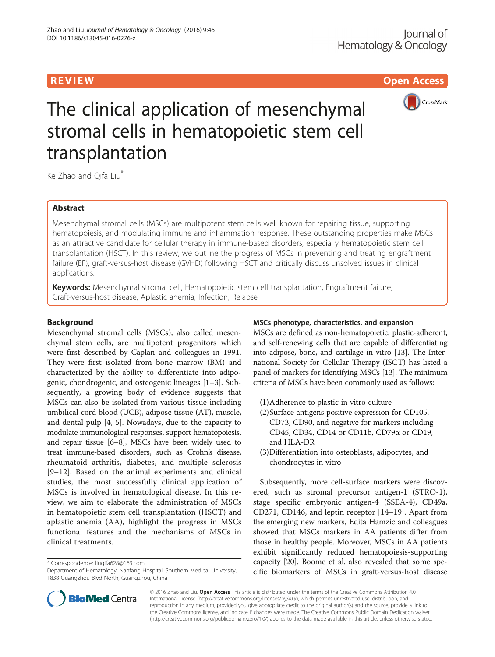R EVI EW Open Access



# The clinical application of mesenchymal stromal cells in hematopoietic stem cell transplantation

Ke Zhao and Oifa Liu<sup>\*</sup>

# Abstract

Mesenchymal stromal cells (MSCs) are multipotent stem cells well known for repairing tissue, supporting hematopoiesis, and modulating immune and inflammation response. These outstanding properties make MSCs as an attractive candidate for cellular therapy in immune-based disorders, especially hematopoietic stem cell transplantation (HSCT). In this review, we outline the progress of MSCs in preventing and treating engraftment failure (EF), graft-versus-host disease (GVHD) following HSCT and critically discuss unsolved issues in clinical applications.

Keywords: Mesenchymal stromal cell, Hematopoietic stem cell transplantation, Engraftment failure, Graft-versus-host disease, Aplastic anemia, Infection, Relapse

# Background

Mesenchymal stromal cells (MSCs), also called mesenchymal stem cells, are multipotent progenitors which were first described by Caplan and colleagues in 1991. They were first isolated from bone marrow (BM) and characterized by the ability to differentiate into adipogenic, chondrogenic, and osteogenic lineages [\[1](#page-6-0)–[3](#page-6-0)]. Subsequently, a growing body of evidence suggests that MSCs can also be isolated from various tissue including umbilical cord blood (UCB), adipose tissue (AT), muscle, and dental pulp [\[4](#page-6-0), [5\]](#page-6-0). Nowadays, due to the capacity to modulate immunological responses, support hematopoiesis, and repair tissue [\[6](#page-6-0)–[8\]](#page-6-0), MSCs have been widely used to treat immune-based disorders, such as Crohn's disease, rheumatoid arthritis, diabetes, and multiple sclerosis [[9](#page-6-0)–[12](#page-6-0)]. Based on the animal experiments and clinical studies, the most successfully clinical application of MSCs is involved in hematological disease. In this review, we aim to elaborate the administration of MSCs in hematopoietic stem cell transplantation (HSCT) and aplastic anemia (AA), highlight the progress in MSCs functional features and the mechanisms of MSCs in clinical treatments.

\* Correspondence: [liuqifa628@163.com](mailto:liuqifa628@163.com)

# MSCs phenotype, characteristics, and expansion

MSCs are defined as non-hematopoietic, plastic-adherent, and self-renewing cells that are capable of differentiating into adipose, bone, and cartilage in vitro [[13](#page-6-0)]. The International Society for Cellular Therapy (ISCT) has listed a panel of markers for identifying MSCs [[13\]](#page-6-0). The minimum criteria of MSCs have been commonly used as follows:

- (1)Adherence to plastic in vitro culture
- (2)Surface antigens positive expression for CD105, CD73, CD90, and negative for markers including CD45, CD34, CD14 or CD11b, CD79α or CD19, and HLA-DR
- (3)Differentiation into osteoblasts, adipocytes, and chondrocytes in vitro

Subsequently, more cell-surface markers were discovered, such as stromal precursor antigen-1 (STRO-1), stage specific embryonic antigen-4 (SSEA-4), CD49a, CD271, CD146, and leptin receptor [[14](#page-6-0)–[19\]](#page-6-0). Apart from the emerging new markers, Edita Hamzic and colleagues showed that MSCs markers in AA patients differ from those in healthy people. Moreover, MSCs in AA patients exhibit significantly reduced hematopoiesis-supporting capacity [[20](#page-6-0)]. Boome et al. also revealed that some specific biomarkers of MSCs in graft-versus-host disease



© 2016 Zhao and Liu. **Open Access** This article is distributed under the terms of the Creative Commons Attribution 4.0 International License [\(http://creativecommons.org/licenses/by/4.0/](http://creativecommons.org/licenses/by/4.0/)), which permits unrestricted use, distribution, and reproduction in any medium, provided you give appropriate credit to the original author(s) and the source, provide a link to the Creative Commons license, and indicate if changes were made. The Creative Commons Public Domain Dedication waiver [\(http://creativecommons.org/publicdomain/zero/1.0/](http://creativecommons.org/publicdomain/zero/1.0/)) applies to the data made available in this article, unless otherwise stated.

Department of Hematology, Nanfang Hospital, Southern Medical University, 1838 Guangzhou Blvd North, Guangzhou, China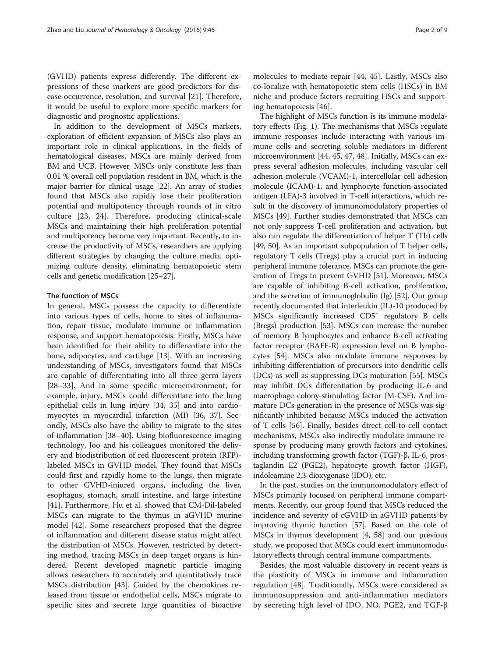In addition to the development of MSCs markers, exploration of efficient expansion of MSCs also plays an important role in clinical applications. In the fields of hematological diseases, MSCs are mainly derived from BM and UCB. However, MSCs only constitute less than 0.01 % overall cell population resident in BM, which is the major barrier for clinical usage [[22](#page-6-0)]. An array of studies found that MSCs also rapidly lose their proliferation potential and multipotency through rounds of in vitro culture [\[23](#page-6-0), [24](#page-6-0)]. Therefore, producing clinical-scale MSCs and maintaining their high proliferation potential and multipotency become very important. Recently, to increase the productivity of MSCs, researchers are applying different strategies by changing the culture media, optimizing culture density, eliminating hematopoietic stem cells and genetic modification [\[25](#page-6-0)–[27](#page-6-0)].

# The function of MSCs

In general, MSCs possess the capacity to differentiate into various types of cells, home to sites of inflammation, repair tissue, modulate immune or inflammation response, and support hematopoiesis. Firstly, MSCs have been identified for their ability to differentiate into the bone, adipocytes, and cartilage [[13](#page-6-0)]. With an increasing understanding of MSCs, investigators found that MSCs are capable of differentiating into all three germ layers [[28](#page-6-0)–[33](#page-6-0)]. And in some specific microenvironment, for example, injury, MSCs could differentiate into the lung epithelial cells in lung injury [\[34, 35\]](#page-6-0) and into cardiomyocytes in myocardial infarction (MI) [\[36](#page-6-0), [37\]](#page-6-0). Secondly, MSCs also have the ability to migrate to the sites of inflammation [[38](#page-6-0)–[40](#page-6-0)]. Using biofluorescence imaging technology, Joo and his colleagues monitored the delivery and biodistribution of red fluorescent protein (RFP) labeled MSCs in GVHD model. They found that MSCs could first and rapidly home to the lungs, then migrate to other GVHD-injured organs, including the liver, esophagus, stomach, small intestine, and large intestine [[41\]](#page-6-0). Furthermore, Hu et al. showed that CM-Dil-labeled MSCs can migrate to the thymus in aGVHD murine model [\[42](#page-6-0)]. Some researchers proposed that the degree of inflammation and different disease status might affect the distribution of MSCs. However, restricted by detecting method, tracing MSCs in deep target organs is hindered. Recent developed magnetic particle imaging allows researchers to accurately and quantitatively trace MSCs distribution [[43\]](#page-6-0). Guided by the chemokines released from tissue or endothelial cells, MSCs migrate to specific sites and secrete large quantities of bioactive

molecules to mediate repair [[44, 45\]](#page-7-0). Lastly, MSCs also co-localize with hematopoietic stem cells (HSCs) in BM niche and produce factors recruiting HSCs and supporting hematopoiesis [\[46](#page-7-0)].

The highlight of MSCs function is its immune modulatory effects (Fig. [1\)](#page-2-0). The mechanisms that MSCs regulate immune responses include interacting with various immune cells and secreting soluble mediators in different microenvironment [\[44](#page-7-0), [45, 47](#page-7-0), [48\]](#page-7-0). Initially, MSCs can express several adhesion molecules, including vascular cell adhesion molecule (VCAM)-1, intercellular cell adhesion molecule (ICAM)-1, and lymphocyte function-associated antigen (LFA)-3 involved in T-cell interactions, which result in the discovery of immunomodulatory properties of MSCs [[49](#page-7-0)]. Further studies demonstrated that MSCs can not only suppress T-cell proliferation and activation, but also can regulate the differentiation of helper T (Th) cells [[49](#page-7-0), [50](#page-7-0)]. As an important subpopulation of T helper cells, regulatory T cells (Tregs) play a crucial part in inducing peripheral immune tolerance. MSCs can promote the generation of Tregs to prevent GVHD [[51](#page-7-0)]. Moreover, MSCs are capable of inhibiting B-cell activation, proliferation, and the secretion of immunoglobulin (Ig) [[52](#page-7-0)]. Our group recently documented that interleukin (IL)-10 produced by MSCs significantly increased CD5<sup>+</sup> regulatory B cells (Bregs) production [\[53](#page-7-0)]. MSCs can increase the number of memory B lymphocytes and enhance B-cell activating factor receptor (BAFF-R) expression level on B lymphocytes [[54](#page-7-0)]. MSCs also modulate immune responses by inhibiting differentiation of precursors into dendritic cells (DCs) as well as suppressing DCs maturation [\[55\]](#page-7-0). MSCs may inhibit DCs differentiation by producing IL-6 and macrophage colony-stimulating factor (M-CSF). And immature DCs generation in the presence of MSCs was significantly inhibited because MSCs induced the activation of T cells [\[56\]](#page-7-0). Finally, besides direct cell-to-cell contact mechanisms, MSCs also indirectly modulate immune response by producing many growth factors and cytokines, including transforming growth factor (TGF)-β, IL-6, prostaglandin E2 (PGE2), hepatocyte growth factor (HGF), indoleamine 2,3-dioxygenase (IDO), etc.

In the past, studies on the immunomodulatory effect of MSCs primarily focused on peripheral immune compartments. Recently, our group found that MSCs reduced the incidence and severity of cGVHD in aGVHD patients by improving thymic function [[57](#page-7-0)]. Based on the role of MSCs in thymus development [[4,](#page-6-0) [58\]](#page-7-0) and our previous study, we proposed that MSCs could exert immunomodulatory effects through central immune compartments.

Besides, the most valuable discovery in recent years is the plasticity of MSCs in immune and inflammation regulation [\[48\]](#page-7-0). Traditionally, MSCs were considered as immunosuppression and anti-inflammation mediators by secreting high level of IDO, NO, PGE2, and TGF-β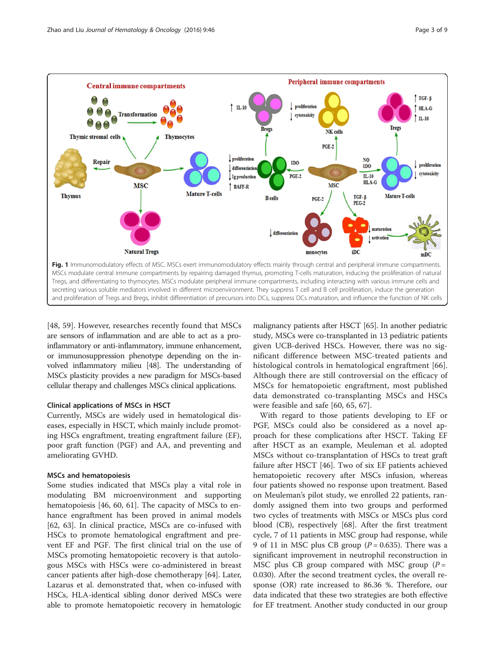<span id="page-2-0"></span>

[[48, 59](#page-7-0)]. However, researches recently found that MSCs are sensors of inflammation and are able to act as a proinflammatory or anti-inflammatory, immune enhancement, or immunosuppression phenotype depending on the involved inflammatory milieu [\[48\]](#page-7-0). The understanding of MSCs plasticity provides a new paradigm for MSCs-based cellular therapy and challenges MSCs clinical applications.

#### Clinical applications of MSCs in HSCT

Currently, MSCs are widely used in hematological diseases, especially in HSCT, which mainly include promoting HSCs engraftment, treating engraftment failure (EF), poor graft function (PGF) and AA, and preventing and ameliorating GVHD.

## MSCs and hematopoiesis

Some studies indicated that MSCs play a vital role in modulating BM microenvironment and supporting hematopoiesis [\[46, 60](#page-7-0), [61\]](#page-7-0). The capacity of MSCs to enhance engraftment has been proved in animal models [[62, 63\]](#page-7-0). In clinical practice, MSCs are co-infused with HSCs to promote hematological engraftment and prevent EF and PGF. The first clinical trial on the use of MSCs promoting hematopoietic recovery is that autologous MSCs with HSCs were co-administered in breast cancer patients after high-dose chemotherapy [[64\]](#page-7-0). Later, Lazarus et al. demonstrated that, when co-infused with HSCs, HLA-identical sibling donor derived MSCs were able to promote hematopoietic recovery in hematologic

malignancy patients after HSCT [[65](#page-7-0)]. In another pediatric study, MSCs were co-transplanted in 13 pediatric patients given UCB-derived HSCs. However, there was no significant difference between MSC-treated patients and histological controls in hematological engraftment [\[66](#page-7-0)]. Although there are still controversial on the efficacy of MSCs for hematopoietic engraftment, most published data demonstrated co-transplanting MSCs and HSCs were feasible and safe [[60, 65, 67](#page-7-0)].

With regard to those patients developing to EF or PGF, MSCs could also be considered as a novel approach for these complications after HSCT. Taking EF after HSCT as an example, Meuleman et al. adopted MSCs without co-transplantation of HSCs to treat graft failure after HSCT [[46\]](#page-7-0). Two of six EF patients achieved hematopoietic recovery after MSCs infusion, whereas four patients showed no response upon treatment. Based on Meuleman's pilot study, we enrolled 22 patients, randomly assigned them into two groups and performed two cycles of treatments with MSCs or MSCs plus cord blood (CB), respectively [\[68\]](#page-7-0). After the first treatment cycle, 7 of 11 patients in MSC group had response, while 9 of 11 in MSC plus CB group ( $P = 0.635$ ). There was a significant improvement in neutrophil reconstruction in MSC plus CB group compared with MSC group  $(P =$ 0.030). After the second treatment cycles, the overall response (OR) rate increased to 86.36 %. Therefore, our data indicated that these two strategies are both effective for EF treatment. Another study conducted in our group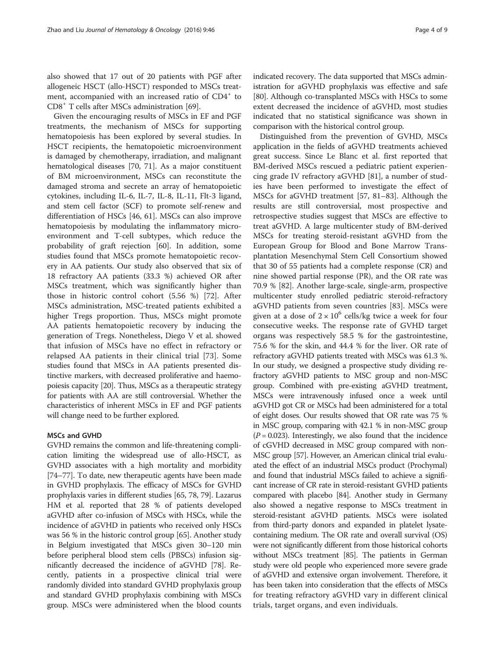also showed that 17 out of 20 patients with PGF after allogeneic HSCT (allo-HSCT) responded to MSCs treatment, accompanied with an increased ratio of CD4<sup>+</sup> to  $CD8<sup>+</sup>$  T cells after MSCs administration [\[69](#page-7-0)].

Given the encouraging results of MSCs in EF and PGF treatments, the mechanism of MSCs for supporting hematopoiesis has been explored by several studies. In HSCT recipients, the hematopoietic microenvironment is damaged by chemotherapy, irradiation, and malignant hematological diseases [\[70](#page-7-0), [71\]](#page-7-0). As a major constituent of BM microenvironment, MSCs can reconstitute the damaged stroma and secrete an array of hematopoietic cytokines, including IL-6, IL-7, IL-8, IL-11, Flt-3 ligand, and stem cell factor (SCF) to promote self-renew and differentiation of HSCs [[46](#page-7-0), [61\]](#page-7-0). MSCs can also improve hematopoiesis by modulating the inflammatory microenvironment and T-cell subtypes, which reduce the probability of graft rejection [[60\]](#page-7-0). In addition, some studies found that MSCs promote hematopoietic recovery in AA patients. Our study also observed that six of 18 refractory AA patients (33.3 %) achieved OR after MSCs treatment, which was significantly higher than those in historic control cohort (5.56 %) [\[72](#page-7-0)]. After MSCs administration, MSC-treated patients exhibited a higher Tregs proportion. Thus, MSCs might promote AA patients hematopoietic recovery by inducing the generation of Tregs. Nonetheless, Diego V et al. showed that infusion of MSCs have no effect in refractory or relapsed AA patients in their clinical trial [\[73](#page-7-0)]. Some studies found that MSCs in AA patients presented distinctive markers, with decreased proliferative and haemopoiesis capacity [\[20\]](#page-6-0). Thus, MSCs as a therapeutic strategy for patients with AA are still controversial. Whether the characteristics of inherent MSCs in EF and PGF patients will change need to be further explored.

### MSCs and GVHD

GVHD remains the common and life-threatening complication limiting the widespread use of allo-HSCT, as GVHD associates with a high mortality and morbidity [[74](#page-7-0)–[77\]](#page-7-0). To date, new therapeutic agents have been made in GVHD prophylaxis. The efficacy of MSCs for GVHD prophylaxis varies in different studies [\[65](#page-7-0), [78, 79](#page-7-0)]. Lazarus HM et al. reported that 28 % of patients developed aGVHD after co-infusion of MSCs with HSCs, while the incidence of aGVHD in patients who received only HSCs was 56 % in the historic control group [\[65](#page-7-0)]. Another study in Belgium investigated that MSCs given 30–120 min before peripheral blood stem cells (PBSCs) infusion significantly decreased the incidence of aGVHD [\[78\]](#page-7-0). Recently, patients in a prospective clinical trial were randomly divided into standard GVHD prophylaxis group and standard GVHD prophylaxis combining with MSCs group. MSCs were administered when the blood counts

indicated recovery. The data supported that MSCs administration for aGVHD prophylaxis was effective and safe [[80](#page-7-0)]. Although co-transplanted MSCs with HSCs to some extent decreased the incidence of aGVHD, most studies indicated that no statistical significance was shown in comparison with the historical control group.

Distinguished from the prevention of GVHD, MSCs application in the fields of aGVHD treatments achieved great success. Since Le Blanc et al. first reported that BM-derived MSCs rescued a pediatric patient experiencing grade IV refractory aGVHD [[81](#page-7-0)], a number of studies have been performed to investigate the effect of MSCs for aGVHD treatment [[57, 81](#page-7-0)–[83](#page-8-0)]. Although the results are still controversial, most prospective and retrospective studies suggest that MSCs are effective to treat aGVHD. A large multicenter study of BM-derived MSCs for treating steroid-resistant aGVHD from the European Group for Blood and Bone Marrow Transplantation Mesenchymal Stem Cell Consortium showed that 30 of 55 patients had a complete response (CR) and nine showed partial response (PR), and the OR rate was 70.9 % [[82](#page-7-0)]. Another large-scale, single-arm, prospective multicenter study enrolled pediatric steroid-refractory aGVHD patients from seven countries [\[83\]](#page-8-0). MSCs were given at a dose of  $2 \times 10^6$  cells/kg twice a week for four consecutive weeks. The response rate of GVHD target organs was respectively 58.5 % for the gastrointestine, 75.6 % for the skin, and 44.4 % for the liver. OR rate of refractory aGVHD patients treated with MSCs was 61.3 %. In our study, we designed a prospective study dividing refractory aGVHD patients to MSC group and non-MSC group. Combined with pre-existing aGVHD treatment, MSCs were intravenously infused once a week until aGVHD got CR or MSCs had been administered for a total of eight doses. Our results showed that OR rate was 75 % in MSC group, comparing with 42.1 % in non-MSC group  $(P = 0.023)$ . Interestingly, we also found that the incidence of cGVHD decreased in MSC group compared with non-MSC group [[57\]](#page-7-0). However, an American clinical trial evaluated the effect of an industrial MSCs product (Prochymal) and found that industrial MSCs failed to achieve a significant increase of CR rate in steroid-resistant GVHD patients compared with placebo [[84](#page-8-0)]. Another study in Germany also showed a negative response to MSCs treatment in steroid-resistant aGVHD patients. MSCs were isolated from third-party donors and expanded in platelet lysatecontaining medium. The OR rate and overall survival (OS) were not significantly different from those historical cohorts without MSCs treatment [\[85\]](#page-8-0). The patients in German study were old people who experienced more severe grade of aGVHD and extensive organ involvement. Therefore, it has been taken into consideration that the effects of MSCs for treating refractory aGVHD vary in different clinical trials, target organs, and even individuals.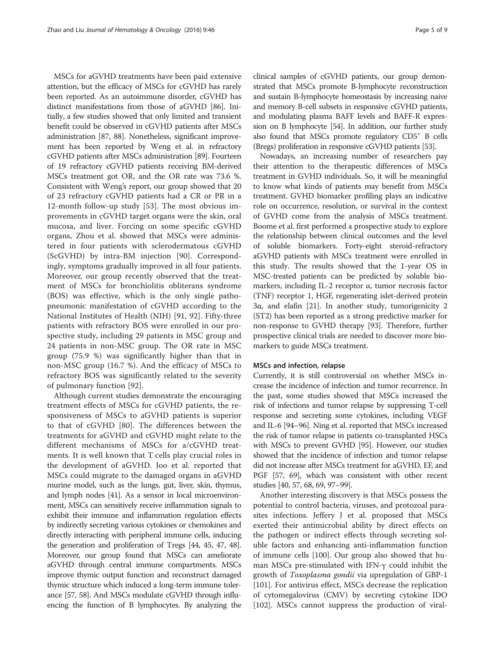MSCs for aGVHD treatments have been paid extensive attention, but the efficacy of MSCs for cGVHD has rarely been reported. As an autoimmune disorder, cGVHD has distinct manifestations from those of aGVHD [[86](#page-8-0)]. Initially, a few studies showed that only limited and transient benefit could be observed in cGVHD patients after MSCs administration [[87](#page-8-0), [88](#page-8-0)]. Nonetheless, significant improvement has been reported by Weng et al. in refractory cGVHD patients after MSCs administration [\[89\]](#page-8-0). Fourteen of 19 refractory cGVHD patients receiving BM-derived MSCs treatment got OR, and the OR rate was 73.6 %. Consistent with Weng's report, our group showed that 20 of 23 refractory cGVHD patients had a CR or PR in a 12-month follow-up study [[53\]](#page-7-0). The most obvious improvements in cGVHD target organs were the skin, oral mucosa, and liver. Forcing on some specific cGVHD organs, Zhou et al. showed that MSCs were administered in four patients with sclerodermatous cGVHD (ScGVHD) by intra-BM injection [[90\]](#page-8-0). Correspondingly, symptoms gradually improved in all four patients. Moreover, our group recently observed that the treatment of MSCs for bronchiolitis obliterans syndrome (BOS) was effective, which is the only single pathopneumonic manifestation of cGVHD according to the National Institutes of Health (NIH) [[91, 92](#page-8-0)]. Fifty-three patients with refractory BOS were enrolled in our prospective study, including 29 patients in MSC group and 24 patients in non-MSC group. The OR rate in MSC group (75.9 %) was significantly higher than that in non-MSC group (16.7 %). And the efficacy of MSCs to refractory BOS was significantly related to the severity of pulmonary function [\[92](#page-8-0)].

Although current studies demonstrate the encouraging treatment effects of MSCs for cGVHD patients, the responsiveness of MSCs to aGVHD patients is superior to that of cGVHD [\[80](#page-7-0)]. The differences between the treatments for aGVHD and cGVHD might relate to the different mechanisms of MSCs for a/cGVHD treatments. It is well known that T cells play crucial roles in the development of aGVHD. Joo et al. reported that MSCs could migrate to the damaged organs in aGVHD murine model, such as the lungs, gut, liver, skin, thymus, and lymph nodes [[41](#page-6-0)]. As a sensor in local microenvironment, MSCs can sensitively receive inflammation signals to exhibit their immune and inflammation regulation effects by indirectly secreting various cytokines or chemokines and directly interacting with peripheral immune cells, inducing the generation and proliferation of Tregs [[44](#page-7-0), [45, 47](#page-7-0), [48](#page-7-0)]. Moreover, our group found that MSCs can ameliorate aGVHD through central immune compartments. MSCs improve thymic output function and reconstruct damaged thymic structure which induced a long-term immune tolerance [[57](#page-7-0), [58](#page-7-0)]. And MSCs modulate cGVHD through influencing the function of B lymphocytes. By analyzing the clinical samples of cGVHD patients, our group demonstrated that MSCs promote B-lymphocyte reconstruction and sustain B-lymphocyte homeostasis by increasing naive and memory B-cell subsets in responsive cGVHD patients, and modulating plasma BAFF levels and BAFF-R expression on B lymphocyte [\[54\]](#page-7-0). In addition, our further study also found that MSCs promote regulatory CD5+ B cells (Bregs) proliferation in responsive cGVHD patients [\[53](#page-7-0)].

Nowadays, an increasing number of researchers pay their attention to the therapeutic differences of MSCs treatment in GVHD individuals. So, it will be meaningful to know what kinds of patients may benefit from MSCs treatment. GVHD biomarker profiling plays an indicative role on occurrence, resolution, or survival in the context of GVHD come from the analysis of MSCs treatment. Boome et al. first performed a prospective study to explore the relationship between clinical outcomes and the level of soluble biomarkers. Forty-eight steroid-refractory aGVHD patients with MSCs treatment were enrolled in this study. The results showed that the 1-year OS in MSC-treated patients can be predicted by soluble biomarkers, including IL-2 receptor α, tumor necrosis factor (TNF) receptor 1, HGF, regenerating islet-derived protein 3 $\alpha$ , and elafin [[21\]](#page-6-0). In another study, tumorigenicity 2 (ST2) has been reported as a strong predictive marker for non-response to GVHD therapy [[93](#page-8-0)]. Therefore, further prospective clinical trials are needed to discover more biomarkers to guide MSCs treatment.

#### MSCs and infection, relapse

Currently, it is still controversial on whether MSCs increase the incidence of infection and tumor recurrence. In the past, some studies showed that MSCs increased the risk of infections and tumor relapse by suppressing T-cell response and secreting some cytokines, including VEGF and IL-6 [\[94](#page-8-0)–[96](#page-8-0)]. Ning et al. reported that MSCs increased the risk of tumor relapse in patients co-transplanted HSCs with MSCs to prevent GVHD [\[95](#page-8-0)]. However, our studies showed that the incidence of infection and tumor relapse did not increase after MSCs treatment for aGVHD, EF, and PGF [\[57](#page-7-0), [69\]](#page-7-0), which was consistent with other recent studies [[40](#page-6-0), [57](#page-7-0), [68](#page-7-0), [69,](#page-7-0) [97](#page-8-0)–[99](#page-8-0)].

Another interesting discovery is that MSCs possess the potential to control bacteria, viruses, and protozoal parasites infections. Jeffery J et al. proposed that MSCs exerted their antimicrobial ability by direct effects on the pathogen or indirect effects through secreting soluble factors and enhancing anti-inflammation function of immune cells [[100\]](#page-8-0). Our group also showed that human MSCs pre-stimulated with IFN-γ could inhibit the growth of Toxoplasma gondii via upregulation of GBP-1 [[101\]](#page-8-0). For antivirus effect, MSCs decrease the replication of cytomegalovirus (CMV) by secreting cytokine IDO [[102\]](#page-8-0). MSCs cannot suppress the production of viral-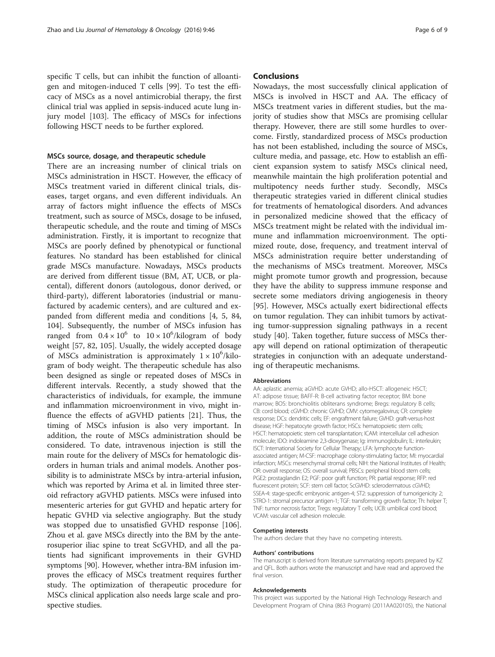specific T cells, but can inhibit the function of alloantigen and mitogen-induced T cells [\[99](#page-8-0)]. To test the efficacy of MSCs as a novel antimicrobial therapy, the first clinical trial was applied in sepsis-induced acute lung injury model [[103\]](#page-8-0). The efficacy of MSCs for infections following HSCT needs to be further explored.

#### MSCs source, dosage, and therapeutic schedule

There are an increasing number of clinical trials on MSCs administration in HSCT. However, the efficacy of MSCs treatment varied in different clinical trials, diseases, target organs, and even different individuals. An array of factors might influence the effects of MSCs treatment, such as source of MSCs, dosage to be infused, therapeutic schedule, and the route and timing of MSCs administration. Firstly, it is important to recognize that MSCs are poorly defined by phenotypical or functional features. No standard has been established for clinical grade MSCs manufacture. Nowadays, MSCs products are derived from different tissue (BM, AT, UCB, or placental), different donors (autologous, donor derived, or third-party), different laboratories (industrial or manufactured by academic centers), and are cultured and expanded from different media and conditions [[4, 5,](#page-6-0) [84](#page-8-0), [104](#page-8-0)]. Subsequently, the number of MSCs infusion has ranged from  $0.4 \times 10^6$  to  $10 \times 10^6$ /kilogram of body weight [\[57, 82,](#page-7-0) [105](#page-8-0)]. Usually, the widely accepted dosage of MSCs administration is approximately  $1 \times 10^6$ /kilogram of body weight. The therapeutic schedule has also been designed as single or repeated doses of MSCs in different intervals. Recently, a study showed that the characteristics of individuals, for example, the immune and inflammation microenvironment in vivo, might influence the effects of aGVHD patients [[21\]](#page-6-0). Thus, the timing of MSCs infusion is also very important. In addition, the route of MSCs administration should be considered. To date, intravenous injection is still the main route for the delivery of MSCs for hematologic disorders in human trials and animal models. Another possibility is to administrate MSCs by intra-arterial infusion, which was reported by Arima et al. in limited three steroid refractory aGVHD patients. MSCs were infused into mesenteric arteries for gut GVHD and hepatic artery for hepatic GVHD via selective angiography. But the study was stopped due to unsatisfied GVHD response [\[106](#page-8-0)]. Zhou et al. gave MSCs directly into the BM by the anterosuperior iliac spine to treat ScGVHD, and all the patients had significant improvements in their GVHD symptoms [[90](#page-8-0)]. However, whether intra-BM infusion improves the efficacy of MSCs treatment requires further study. The optimization of therapeutic procedure for MSCs clinical application also needs large scale and prospective studies.

### **Conclusions**

Nowadays, the most successfully clinical application of MSCs is involved in HSCT and AA. The efficacy of MSCs treatment varies in different studies, but the majority of studies show that MSCs are promising cellular therapy. However, there are still some hurdles to overcome. Firstly, standardized process of MSCs production has not been established, including the source of MSCs, culture media, and passage, etc. How to establish an efficient expansion system to satisfy MSCs clinical need, meanwhile maintain the high proliferation potential and multipotency needs further study. Secondly, MSCs therapeutic strategies varied in different clinical studies for treatments of hematological disorders. And advances in personalized medicine showed that the efficacy of MSCs treatment might be related with the individual immune and inflammation microenvironment. The optimized route, dose, frequency, and treatment interval of MSCs administration require better understanding of the mechanisms of MSCs treatment. Moreover, MSCs might promote tumor growth and progression, because they have the ability to suppress immune response and secrete some mediators driving angiogenesis in theory [[95\]](#page-8-0). However, MSCs actually exert bidirectional effects on tumor regulation. They can inhibit tumors by activating tumor-suppression signaling pathways in a recent study [\[40\]](#page-6-0). Taken together, future success of MSCs therapy will depend on rational optimization of therapeutic strategies in conjunction with an adequate understanding of therapeutic mechanisms.

#### Abbreviations

AA: aplastic anemia; aGVHD: acute GVHD; allo-HSCT: allogeneic HSCT; AT: adipose tissue; BAFF-R: B-cell activating factor receptor; BM: bone marrow; BOS: bronchiolitis obliterans syndrome; Bregs: regulatory B cells; CB: cord blood; cGVHD: chronic GVHD; CMV: cytomegalovirus; CR: complete response; DCs: dendritic cells; EF: engraftment failure; GVHD: graft-versus-host disease; HGF: hepatocyte growth factor; HSCs: hematopoietic stem cells; HSCT: hematopoietic stem cell transplantation; ICAM: intercellular cell adhesion molecule; IDO: indoleamine 2,3-dioxygenase; Ig: immunoglobulin; IL: interleukin; ISCT: International Society for Cellular Therapy; LFA: lymphocyte functionassociated antigen; M-CSF: macrophage colony-stimulating factor; MI: myocardial infarction; MSCs: mesenchymal stromal cells; NIH: the National Institutes of Health; OR: overall response; OS: overall survival; PBSCs: peripheral blood stem cells; PGE2: prostaglandin E2; PGF: poor graft function; PR: partial response; RFP: red fluorescent protein; SCF: stem cell factor; ScGVHD: sclerodermatous cGVHD; SSEA-4: stage-specific embryonic antigen-4; ST2: suppression of tumorigenicity 2; STRO-1: stromal precursor antigen-1; TGF: transforming growth factor; Th: helper T; TNF: tumor necrosis factor; Tregs: regulatory T cells; UCB: umbilical cord blood; VCAM: vascular cell adhesion molecule.

#### Competing interests

The authors declare that they have no competing interests.

#### Authors' contributions

The manuscript is derived from literature summarizing reports prepared by KZ and QFL. Both authors wrote the manuscript and have read and approved the final version.

#### Acknowledgements

This project was supported by the National High Technology Research and Development Program of China (863 Program) (2011AA020105), the National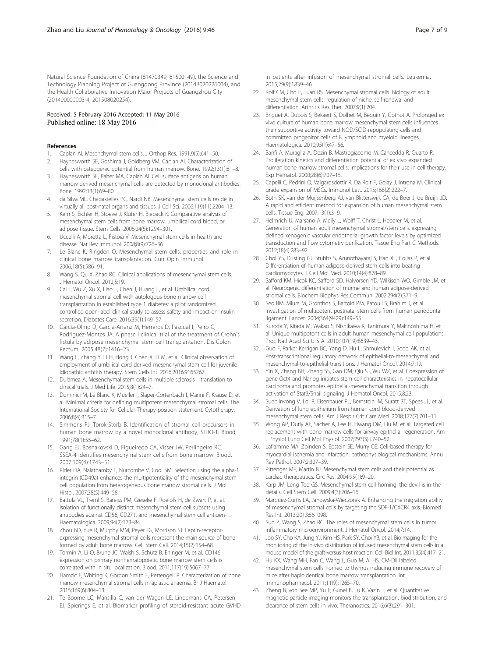<span id="page-6-0"></span>Natural Science Foundation of China (81470349, 81500149), the Science and Technology Planning Project of Guangdong Province (2014B020226004), and the Health Collaborative Innovation Major Projects of Guangzhou City (201400000003-4, 201508020254).

#### Received: 5 February 2016 Accepted: 11 May 2016 Published online: 18 May 2016

#### References

- 1. Caplan AI. Mesenchymal stem cells. J Orthop Res. 1991;9(5):641–50.
- 2. Haynesworth SE, Goshima J, Goldberg VM, Caplan AI. Characterization of cells with osteogenic potential from human marrow. Bone. 1992;13(1):81–8.
- 3. Haynesworth SE, Baber MA, Caplan AI. Cell surface antigens on human marrow-derived mesenchymal cells are detected by monoclonal antibodies. Bone. 1992;13(1):69–80.
- 4. da Silva ML, Chagastelles PC, Nardi NB. Mesenchymal stem cells reside in virtually all post-natal organs and tissues. J Cell Sci. 2006;119(11):2204–13.
- 5. Kern S, Eichler H, Stoeve J, Kluter H, Bieback K. Comparative analysis of mesenchymal stem cells from bone marrow, umbilical cord blood, or adipose tissue. Stem Cells. 2006;24(5):1294–301.
- 6. Uccelli A, Moretta L, Pistoia V. Mesenchymal stem cells in health and disease. Nat Rev Immunol. 2008;8(9):726–36.
- 7. Le Blanc K, Ringden O. Mesenchymal stem cells: properties and role in clinical bone marrow transplantation. Curr Opin Immunol. 2006;18(5):586–91.
- 8. Wang S, Qu X, Zhao RC. Clinical applications of mesenchymal stem cells. J Hematol Oncol. 2012;5:19.
- 9. Cai J, Wu Z, Xu X, Liao L, Chen J, Huang L, et al. Umbilical cord mesenchymal stromal cell with autologous bone marrow cell transplantation in established type 1 diabetes: a pilot randomized controlled open-label clinical study to assess safety and impact on insulin secretion. Diabetes Care. 2016;39(1):149–57.
- 10. Garcia-Olmo D, Garcia-Arranz M, Herreros D, Pascual I, Peiro C, Rodriguez-Montes JA. A phase I clinical trial of the treatment of Crohn's fistula by adipose mesenchymal stem cell transplantation. Dis Colon Rectum. 2005;48(7):1416–23.
- 11. Wang L, Zhang Y, Li H, Hong J, Chen X, Li M, et al. Clinical observation of employment of umbilical cord derived mesenchymal stem cell for juvenile idiopathic arthritis therapy. Stem Cells Int. 2016;2016:9165267.
- 12. Dulamea A. Mesenchymal stem cells in multiple sclerosis—translation to clinical trials. J Med Life. 2015;8(1):24–7.
- 13. Dominici M, Le Blanc K, Mueller I, Slaper-Cortenbach I, Marini F, Krause D, et al. Minimal criteria for defining multipotent mesenchymal stromal cells. The International Society for Cellular Therapy position statement. Cytotherapy. 2006;8(4):315–7.
- 14. Simmons PJ, Torok-Storb B. Identification of stromal cell precursors in human bone marrow by a novel monoclonal antibody, STRO-1. Blood. 1991;78(1):55–62.
- 15. Gang EJ, Bosnakovski D, Figueiredo CA, Visser JW, Perlingeiro RC. SSEA-4 identifies mesenchymal stem cells from bone marrow. Blood. 2007;109(4):1743–51.
- 16. Rider DA, Nalathamby T, Nurcombe V, Cool SM. Selection using the alpha-1 integrin (CD49a) enhances the multipotentiality of the mesenchymal stem cell population from heterogeneous bone marrow stromal cells. J Mol Histol. 2007;38(5):449–58.
- 17. Battula VL, Treml S, Bareiss PM, Gieseke F, Roelofs H, de Zwart P, et al. Isolation of functionally distinct mesenchymal stem cell subsets using antibodies against CD56, CD271, and mesenchymal stem cell antigen-1. Haematologica. 2009;94(2):173–84.
- 18. Zhou BO, Yue R, Murphy MM, Peyer JG, Morrison SJ. Leptin-receptorexpressing mesenchymal stromal cells represent the main source of bone formed by adult bone marrow. Cell Stem Cell. 2014;15(2):154–68.
- 19. Tormin A, Li O, Brune JC, Walsh S, Schutz B, Ehinger M, et al. CD146 expression on primary nonhematopoietic bone marrow stem cells is correlated with in situ localization. Blood. 2011;117(19):5067–77.
- 20. Hamzic E, Whiting K, Gordon Smith E, Pettengell R. Characterization of bone marrow mesenchymal stromal cells in aplastic anaemia. Br J Haematol. 2015;169(6):804–13.
- 21. Te Boome LC, Mansilla C, van der Wagen LE, Lindemans CA, Petersen EJ, Spierings E, et al. Biomarker profiling of steroid-resistant acute GVHD

in patients after infusion of mesenchymal stromal cells. Leukemia. 2015;29(9):1839–46.

- 22. Kolf CM, Cho E, Tuan RS. Mesenchymal stromal cells. Biology of adult mesenchymal stem cells: regulation of niche, self-renewal and differentiation. Arthritis Res Ther. 2007;9(1):204.
- 23. Briquet A, Dubois S, Bekaert S, Dolhet M, Beguin Y, Gothot A. Prolonged ex vivo culture of human bone marrow mesenchymal stem cells influences their supportive activity toward NOD/SCID-repopulating cells and committed progenitor cells of B lymphoid and myeloid lineages. Haematologica. 2010;95(1):47–56.
- 24. Banfi A, Muraglia A, Dozin B, Mastrogiacomo M, Cancedda R, Quarto R. Proliferation kinetics and differentiation potential of ex vivo expanded human bone marrow stromal cells: Implications for their use in cell therapy. Exp Hematol. 2000;28(6):707–15.
- 25. Capelli C, Pedrini O, Valgardsdottir R, Da Roit F, Golay J, Introna M. Clinical grade expansion of MSCs. Immunol Lett. 2015;168(2):222–7.
- 26. Both SK, van der Muijsenberg AJ, van Blitterswijk CA, de Boer J, de Bruijn JD. A rapid and efficient method for expansion of human mesenchymal stem cells. Tissue Eng. 2007;13(1):3–9.
- 27. Helmrich U, Marsano A, Melly L, Wolff T, Christ L, Heberer M, et al. Generation of human adult mesenchymal stromal/stem cells expressing defined xenogenic vascular endothelial growth factor levels by optimized transduction and flow cytometry purification. Tissue Eng Part C Methods. 2012;18(4):283–92.
- 28. Choi YS, Dusting GJ, Stubbs S, Arunothayaraj S, Han XL, Collas P, et al. Differentiation of human adipose-derived stem cells into beating cardiomyocytes. J Cell Mol Med. 2010;14(4):878–89.
- 29. Safford KM, Hicok KC, Safford SD, Halvorsen YD, Wilkison WO, Gimble JM, et al. Neurogenic differentiation of murine and human adipose-derived stromal cells. Biochem Biophys Res Commun. 2002;294(2):371–9.
- 30. Seo BM, Miura M, Gronthos S, Bartold PM, Batouli S, Brahim J, et al. Investigation of multipotent postnatal stem cells from human periodontal ligament. Lancet. 2004;364(9429):149–55.
- 31. Kuroda Y, Kitada M, Wakao S, Nishikawa K, Tanimura Y, Makinoshima H, et al. Unique multipotent cells in adult human mesenchymal cell populations. Proc Natl Acad Sci U S A. 2010;107(19):8639–43.
- 32. Guo F, Parker Kerrigan BC, Yang D, Hu L, Shmulevich I, Sood AK, et al. Post-transcriptional regulatory network of epithelial-to-mesenchymal and mesenchymal-to-epithelial transitions. J Hematol Oncol. 2014;7:19.
- 33. Yin X, Zhang BH, Zheng SS, Gao DM, Qiu SJ, Wu WZ, et al. Coexpression of gene Oct4 and Nanog initiates stem cell characteristics in hepatocellular carcinoma and promotes epithelial-mesenchymal transition through activation of Stat3/Snail signaling. J Hematol Oncol. 2015;8:23.
- 34. Sueblinvong V, Loi R, Eisenhauer PL, Bernstein IM, Suratt BT, Spees JL, et al. Derivation of lung epithelium from human cord blood-derived mesenchymal stem cells. Am J Respir Crit Care Med. 2008;177(7):701–11.
- 35. Wong AP, Dutly AE, Sacher A, Lee H, Hwang DM, Liu M, et al. Targeted cell replacement with bone marrow cells for airway epithelial regeneration. Am J Physiol Lung Cell Mol Physiol. 2007;293(3):L740–52.
- 36. Laflamme MA, Zbinden S, Epstein SE, Murry CE. Cell-based therapy for myocardial ischemia and infarction: pathophysiological mechanisms. Annu Rev Pathol. 2007;2:307–39.
- 37. Pittenger MF, Martin BJ. Mesenchymal stem cells and their potential as cardiac therapeutics. Circ Res. 2004;95(1):9–20.
- 38. Karp JM, Leng Teo GS. Mesenchymal stem cell homing: the devil is in the details. Cell Stem Cell. 2009;4(3):206–16.
- 39. Marquez-Curtis LA, Janowska-Wieczorek A. Enhancing the migration ability of mesenchymal stromal cells by targeting the SDF-1/CXCR4 axis. Biomed Res Int. 2013;2013:561098.
- 40. Sun Z, Wang S, Zhao RC. The roles of mesenchymal stem cells in tumor inflammatory microenvironment. J Hematol Oncol. 2014;7:14.
- 41. Joo SY, Cho KA, Jung YJ, Kim HS, Park SY, Choi YB, et al. Bioimaging for the monitoring of the in vivo distribution of infused mesenchymal stem cells in a mouse model of the graft-versus-host reaction. Cell Biol Int. 2011;35(4):417–21.
- 42. Hu KX, Wang MH, Fan C, Wang L, Guo M, Ai HS. CM-DiI labeled mesenchymal stem cells homed to thymus inducing immune recovery of mice after haploidentical bone marrow transplantation. Int Immunopharmacol. 2011;11(9):1265–70.
- 43. Zheng B, von See MP, Yu E, Gunel B, Lu K, Vazin T, et al. Quantitative magnetic particle imaging monitors the transplantation, biodistribution, and clearance of stem cells in vivo. Theranostics. 2016;6(3):291–301.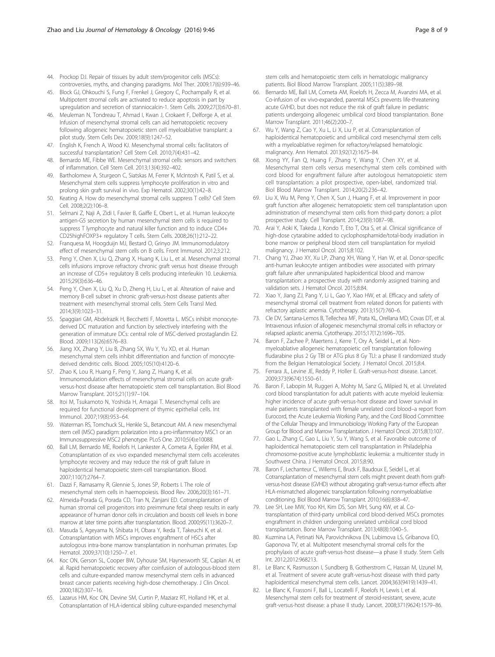- <span id="page-7-0"></span>44. Prockop DJ. Repair of tissues by adult stem/progenitor cells (MSCs): controversies, myths, and changing paradigms. Mol Ther. 2009;17(6):939–46.
- 45. Block GJ, Ohkouchi S, Fung F, Frenkel J, Gregory C, Pochampally R, et al. Multipotent stromal cells are activated to reduce apoptosis in part by upregulation and secretion of stanniocalcin-1. Stem Cells. 2009;27(3):670–81.
- 46. Meuleman N, Tondreau T, Ahmad I, Kwan J, Crokaert F, Delforge A, et al. Infusion of mesenchymal stromal cells can aid hematopoietic recovery following allogeneic hematopoietic stem cell myeloablative transplant: a pilot study. Stem Cells Dev. 2009;18(9):1247–52.
- 47. English K, French A, Wood KJ. Mesenchymal stromal cells: facilitators of successful transplantation? Cell Stem Cell. 2010;7(4):431–42.
- 48. Bernardo ME, Fibbe WE. Mesenchymal stromal cells: sensors and switchers of inflammation. Cell Stem Cell. 2013;13(4):392–402.
- 49. Bartholomew A, Sturgeon C, Siatskas M, Ferrer K, McIntosh K, Patil S, et al. Mesenchymal stem cells suppress lymphocyte proliferation in vitro and prolong skin graft survival in vivo. Exp Hematol. 2002;30(1):42–8.
- 50. Keating A. How do mesenchymal stromal cells suppress T cells? Cell Stem Cell. 2008;2(2):106–8.
- 51. Selmani Z, Naji A, Zidi I, Favier B, Gaiffe E, Obert L, et al. Human leukocyte antigen-G5 secretion by human mesenchymal stem cells is required to suppress T lymphocyte and natural killer function and to induce CD4+ CD25highFOXP3+ regulatory T cells. Stem Cells. 2008;26(1):212–22.
- 52. Franquesa M, Hoogduijn MJ, Bestard O, Grinyo JM. Immunomodulatory effect of mesenchymal stem cells on B cells. Front Immunol. 2012;3:212.
- 53. Peng Y, Chen X, Liu Q, Zhang X, Huang K, Liu L, et al. Mesenchymal stromal cells infusions improve refractory chronic graft versus host disease through an increase of CD5+ regulatory B cells producing interleukin 10. Leukemia. 2015;29(3):636–46.
- 54. Peng Y, Chen X, Liu Q, Xu D, Zheng H, Liu L, et al. Alteration of naive and memory B-cell subset in chronic graft-versus-host disease patients after treatment with mesenchymal stromal cells. Stem Cells Transl Med. 2014;3(9):1023–31.
- 55. Spaggiari GM, Abdelrazik H, Becchetti F, Moretta L. MSCs inhibit monocytederived DC maturation and function by selectively interfering with the generation of immature DCs: central role of MSC-derived prostaglandin E2. Blood. 2009;113(26):6576–83.
- 56. Jiang XX, Zhang Y, Liu B, Zhang SX, Wu Y, Yu XD, et al. Human mesenchymal stem cells inhibit differentiation and function of monocytederived dendritic cells. Blood. 2005;105(10):4120–6.
- 57. Zhao K, Lou R, Huang F, Peng Y, Jiang Z, Huang K, et al. Immunomodulation effects of mesenchymal stromal cells on acute graftversus-host disease after hematopoietic stem cell transplantation. Biol Blood Marrow Transplant. 2015;21(1):97–104.
- 58. Itoi M, Tsukamoto N, Yoshida H, Amagai T. Mesenchymal cells are required for functional development of thymic epithelial cells. Int Immunol. 2007;19(8):953–64.
- 59. Waterman RS, Tomchuck SL, Henkle SL, Betancourt AM. A new mesenchymal stem cell (MSC) paradigm: polarization into a pro-inflammatory MSC1 or an Immunosuppressive MSC2 phenotype. PLoS One. 2010;5(4):e10088.
- 60. Ball LM, Bernardo ME, Roelofs H, Lankester A, Cometa A, Egeler RM, et al. Cotransplantation of ex vivo expanded mesenchymal stem cells accelerates lymphocyte recovery and may reduce the risk of graft failure in haploidentical hematopoietic stem-cell transplantation. Blood. 2007;110(7):2764–7.
- 61. Dazzi F, Ramasamy R, Glennie S, Jones SP, Roberts I. The role of mesenchymal stem cells in haemopoiesis. Blood Rev. 2006;20(3):161–71.
- 62. Almeida-Porada G, Porada CD, Tran N, Zanjani ED. Cotransplantation of human stromal cell progenitors into preimmune fetal sheep results in early appearance of human donor cells in circulation and boosts cell levels in bone marrow at later time points after transplantation. Blood. 2000;95(11):3620–7.
- 63. Masuda S, Ageyama N, Shibata H, Obara Y, Ikeda T, Takeuchi K, et al. Cotransplantation with MSCs improves engraftment of HSCs after autologous intra-bone marrow transplantation in nonhuman primates. Exp Hematol. 2009;37(10):1250–7. e1.
- 64. Koc ON, Gerson SL, Cooper BW, Dyhouse SM, Haynesworth SE, Caplan AI, et al. Rapid hematopoietic recovery after coinfusion of autologous-blood stem cells and culture-expanded marrow mesenchymal stem cells in advanced breast cancer patients receiving high-dose chemotherapy. J Clin Oncol. 2000;18(2):307–16.
- 65. Lazarus HM, Koc ON, Devine SM, Curtin P, Maziarz RT, Holland HK, et al. Cotransplantation of HLA-identical sibling culture-expanded mesenchymal

stem cells and hematopoietic stem cells in hematologic malignancy patients. Biol Blood Marrow Transplant. 2005;11(5):389–98.

- 66. Bernardo ME, Ball LM, Cometa AM, Roelofs H, Zecca M, Avanzini MA, et al. Co-infusion of ex vivo-expanded, parental MSCs prevents life-threatening acute GVHD, but does not reduce the risk of graft failure in pediatric patients undergoing allogeneic umbilical cord blood transplantation. Bone Marrow Transplant. 2011;46(2):200–7.
- 67. Wu Y, Wang Z, Cao Y, Xu L, Li X, Liu P, et al. Cotransplantation of haploidentical hematopoietic and umbilical cord mesenchymal stem cells with a myeloablative regimen for refractory/relapsed hematologic malignancy. Ann Hematol. 2013;92(12):1675–84.
- 68. Xiong YY, Fan Q, Huang F, Zhang Y, Wang Y, Chen XY, et al. Mesenchymal stem cells versus mesenchymal stem cells combined with cord blood for engraftment failure after autologous hematopoietic stem cell transplantation: a pilot prospective, open-label, randomized trial. Biol Blood Marrow Transplant. 2014;20(2):236–42.
- 69. Liu X, Wu M, Peng Y, Chen X, Sun J, Huang F, et al. Improvement in poor graft function after allogeneic hematopoietic stem cell transplantation upon administration of mesenchymal stem cells from third-party donors: a pilot prospective study. Cell Transplant. 2014;23(9):1087–98.
- 70. Arai Y, Aoki K, Takeda J, Kondo T, Eto T, Ota S, et al. Clinical significance of high-dose cytarabine added to cyclophosphamide/total-body irradiation in bone marrow or peripheral blood stem cell transplantation for myeloid malignancy. J Hematol Oncol. 2015;8:102.
- 71. Chang YJ, Zhao XY, Xu LP, Zhang XH, Wang Y, Han W, et al. Donor-specific anti-human leukocyte antigen antibodies were associated with primary graft failure after unmanipulated haploidentical blood and marrow transplantation: a prospective study with randomly assigned training and validation sets. J Hematol Oncol. 2015;8:84.
- 72. Xiao Y, Jiang ZJ, Pang Y, Li L, Gao Y, Xiao HW, et al. Efficacy and safety of mesenchymal stromal cell treatment from related donors for patients with refractory aplastic anemia. Cytotherapy. 2013;15(7):760–6.
- 73. Cle DV, Santana-Lemos B, Tellechea MF, Prata KL, Orellana MD, Covas DT, et al. Intravenous infusion of allogeneic mesenchymal stromal cells in refractory or relapsed aplastic anemia. Cytotherapy. 2015;17(12):1696–705.
- 74. Baron F, Zachee P, Maertens J, Kerre T, Ory A, Seidel L, et al. Nonmyeloablative allogeneic hematopoietic cell transplantation following fludarabine plus 2 Gy TBI or ATG plus 8 Gy TLI: a phase II randomized study from the Belgian Hematological Society. J Hematol Oncol. 2015;8:4.
- 75. Ferrara JL, Levine JE, Reddy P, Holler E. Graft-versus-host disease. Lancet. 2009;373(9674):1550–61.
- 76. Baron F, Labopin M, Ruggeri A, Mohty M, Sanz G, Milpied N, et al. Unrelated cord blood transplantation for adult patients with acute myeloid leukemia: higher incidence of acute graft-versus-host disease and lower survival in male patients transplanted with female unrelated cord blood–a report from Eurocord, the Acute Leukemia Working Party, and the Cord Blood Committee of the Cellular Therapy and Immunobiology Working Party of the European Group for Blood and Marrow Transplantation. J Hematol Oncol. 2015;8(1):107.
- 77. Gao L, Zhang C, Gao L, Liu Y, Su Y, Wang S, et al. Favorable outcome of haploidentical hematopoietic stem cell transplantation in Philadelphia chromosome-positive acute lymphoblastic leukemia: a multicenter study in Southwest China. J Hematol Oncol. 2015;8:90.
- 78. Baron F, Lechanteur C, Willems E, Bruck F, Baudoux E, Seidel L, et al. Cotransplantation of mesenchymal stem cells might prevent death from graftversus-host disease (GVHD) without abrogating graft-versus-tumor effects after HLA-mismatched allogeneic transplantation following nonmyeloablative conditioning. Biol Blood Marrow Transplant. 2010;16(6):838–47.
- 79. Lee SH, Lee MW, Yoo KH, Kim DS, Son MH, Sung KW, et al. Cotransplantation of third-party umbilical cord blood-derived MSCs promotes engraftment in children undergoing unrelated umbilical cord blood transplantation. Bone Marrow Transplant. 2013;48(8):1040–5.
- 80. Kuzmina LA, Petinati NA, Parovichnikova EN, Lubimova LS, Gribanova EO, Gaponova TV, et al. Multipotent mesenchymal stromal cells for the prophylaxis of acute graft-versus-host disease—a phase II study. Stem Cells Int. 2012;2012:968213.
- 81. Le Blanc K, Rasmusson I, Sundberg B, Gotherstrom C, Hassan M, Uzunel M, et al. Treatment of severe acute graft-versus-host disease with third party haploidentical mesenchymal stem cells. Lancet. 2004;363(9419):1439–41.
- 82. Le Blanc K, Frassoni F, Ball L, Locatelli F, Roelofs H, Lewis I, et al. Mesenchymal stem cells for treatment of steroid-resistant, severe, acute graft-versus-host disease: a phase II study. Lancet. 2008;371(9624):1579–86.